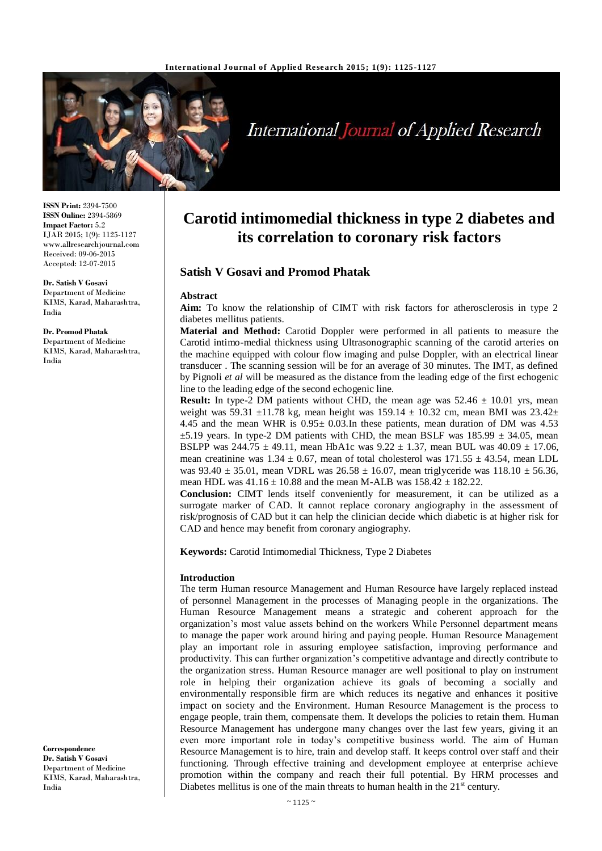

# **International Journal of Applied Research**

**ISSN Print:** 2394-7500 **ISSN Online:** 2394-5869 **Impact Factor:** 5.2 IJAR 2015; 1(9): 1125-1127 www.allresearchjournal.com Received: 09-06-2015 Accepted: 12-07-2015

**Dr. Satish V Gosavi** Department of Medicine KIMS, Karad, Maharashtra, India

**Dr. Promod Phatak**

Department of Medicine KIMS, Karad, Maharashtra, India

**Correspondence Dr. Satish V Gosavi** Department of Medicine KIMS, Karad, Maharashtra, India

# **Carotid intimomedial thickness in type 2 diabetes and its correlation to coronary risk factors**

## **Satish V Gosavi and Promod Phatak**

#### **Abstract**

**Aim:** To know the relationship of CIMT with risk factors for atherosclerosis in type 2 diabetes mellitus patients.

**Material and Method:** Carotid Doppler were performed in all patients to measure the Carotid intimo-medial thickness using Ultrasonographic scanning of the carotid arteries on the machine equipped with colour flow imaging and pulse Doppler, with an electrical linear transducer . The scanning session will be for an average of 30 minutes. The IMT, as defined by Pignoli *et al* will be measured as the distance from the leading edge of the first echogenic line to the leading edge of the second echogenic line.

**Result:** In type-2 DM patients without CHD, the mean age was  $52.46 \pm 10.01$  yrs, mean weight was 59.31  $\pm$ 11.78 kg, mean height was 159.14  $\pm$  10.32 cm, mean BMI was 23.42 $\pm$ 4.45 and the mean WHR is  $0.95 \pm 0.03$ . In these patients, mean duration of DM was 4.53  $\pm$ 5.19 years. In type-2 DM patients with CHD, the mean BSLF was 185.99  $\pm$  34.05, mean BSLPP was  $244.75 \pm 49.11$ , mean HbA1c was  $9.22 \pm 1.37$ , mean BUL was  $40.09 \pm 17.06$ , mean creatinine was  $1.34 \pm 0.67$ , mean of total cholesterol was  $171.55 \pm 43.54$ , mean LDL was 93.40  $\pm$  35.01, mean VDRL was 26.58  $\pm$  16.07, mean triglyceride was 118.10  $\pm$  56.36, mean HDL was  $41.16 \pm 10.88$  and the mean M-ALB was  $158.42 \pm 182.22$ .

**Conclusion:** CIMT lends itself conveniently for measurement, it can be utilized as a surrogate marker of CAD. It cannot replace coronary angiography in the assessment of risk/prognosis of CAD but it can help the clinician decide which diabetic is at higher risk for CAD and hence may benefit from coronary angiography.

**Keywords:** Carotid Intimomedial Thickness, Type 2 Diabetes

#### **Introduction**

The term Human resource Management and Human Resource have largely replaced instead of personnel Management in the processes of Managing people in the organizations. The Human Resource Management means a strategic and coherent approach for the organization's most value assets behind on the workers While Personnel department means to manage the paper work around hiring and paying people. Human Resource Management play an important role in assuring employee satisfaction, improving performance and productivity. This can further organization's competitive advantage and directly contribute to the organization stress. Human Resource manager are well positional to play on instrument role in helping their organization achieve its goals of becoming a socially and environmentally responsible firm are which reduces its negative and enhances it positive impact on society and the Environment. Human Resource Management is the process to engage people, train them, compensate them. It develops the policies to retain them. Human Resource Management has undergone many changes over the last few years, giving it an even more important role in today's competitive business world. The aim of Human Resource Management is to hire, train and develop staff. It keeps control over staff and their functioning. Through effective training and development employee at enterprise achieve promotion within the company and reach their full potential. By HRM processes and Diabetes mellitus is one of the main threats to human health in the  $21<sup>st</sup>$  century.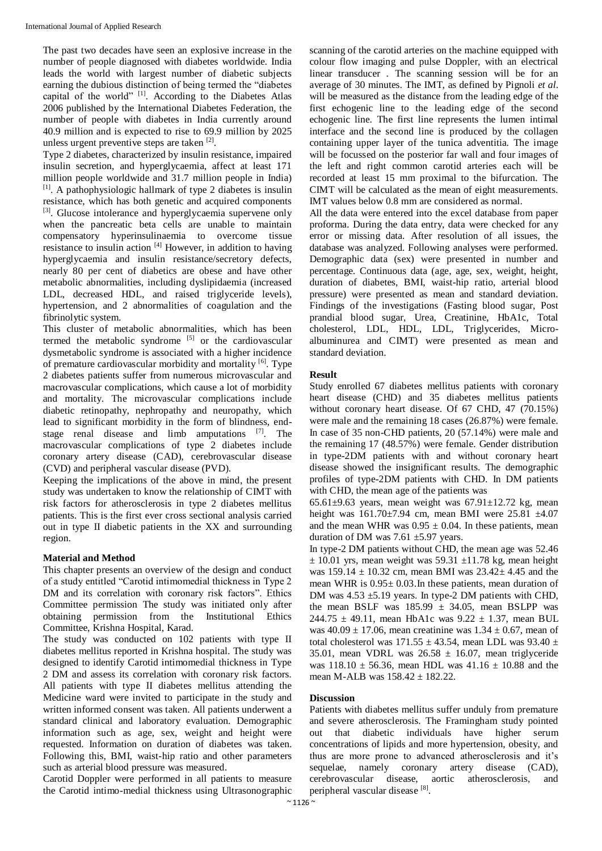The past two decades have seen an explosive increase in the number of people diagnosed with diabetes worldwide. India leads the world with largest number of diabetic subjects earning the dubious distinction of being termed the "diabetes capital of the world"  $[1]$ . According to the Diabetes Atlas 2006 published by the International Diabetes Federation, the number of people with diabetes in India currently around 40.9 million and is expected to rise to 69.9 million by 2025 unless urgent preventive steps are taken [2].

Type 2 diabetes, characterized by insulin resistance, impaired insulin secretion, and hyperglycaemia, affect at least 171 million people worldwide and 31.7 million people in India)  $[1]$ . A pathophysiologic hallmark of type 2 diabetes is insulin resistance, which has both genetic and acquired components <sup>[3]</sup>. Glucose intolerance and hyperglycaemia supervene only when the pancreatic beta cells are unable to maintain compensatory hyperinsulinaemia to overcome tissue resistance to insulin action [4] However, in addition to having hyperglycaemia and insulin resistance/secretory defects, nearly 80 per cent of diabetics are obese and have other metabolic abnormalities, including dyslipidaemia (increased LDL, decreased HDL, and raised triglyceride levels), hypertension, and 2 abnormalities of coagulation and the fibrinolytic system.

This cluster of metabolic abnormalities, which has been termed the metabolic syndrome [5] or the cardiovascular dysmetabolic syndrome is associated with a higher incidence of premature cardiovascular morbidity and mortality [6]. Type 2 diabetes patients suffer from numerous microvascular and macrovascular complications, which cause a lot of morbidity and mortality. The microvascular complications include diabetic retinopathy, nephropathy and neuropathy, which lead to significant morbidity in the form of blindness, endstage renal disease and limb amputations  $[7]$ . The macrovascular complications of type 2 diabetes include coronary artery disease (CAD), cerebrovascular disease (CVD) and peripheral vascular disease (PVD).

Keeping the implications of the above in mind, the present study was undertaken to know the relationship of CIMT with risk factors for atherosclerosis in type 2 diabetes mellitus patients. This is the first ever cross sectional analysis carried out in type II diabetic patients in the XX and surrounding region.

### **Material and Method**

This chapter presents an overview of the design and conduct of a study entitled "Carotid intimomedial thickness in Type 2 DM and its correlation with coronary risk factors". Ethics Committee permission The study was initiated only after obtaining permission from the Institutional Ethics Committee, Krishna Hospital, Karad.

The study was conducted on 102 patients with type II diabetes mellitus reported in Krishna hospital. The study was designed to identify Carotid intimomedial thickness in Type 2 DM and assess its correlation with coronary risk factors. All patients with type II diabetes mellitus attending the Medicine ward were invited to participate in the study and written informed consent was taken. All patients underwent a standard clinical and laboratory evaluation. Demographic information such as age, sex, weight and height were requested. Information on duration of diabetes was taken. Following this, BMI, waist-hip ratio and other parameters such as arterial blood pressure was measured.

Carotid Doppler were performed in all patients to measure the Carotid intimo-medial thickness using Ultrasonographic scanning of the carotid arteries on the machine equipped with colour flow imaging and pulse Doppler, with an electrical linear transducer . The scanning session will be for an average of 30 minutes. The IMT, as defined by Pignoli *et al*. will be measured as the distance from the leading edge of the first echogenic line to the leading edge of the second echogenic line. The first line represents the lumen intimal interface and the second line is produced by the collagen containing upper layer of the tunica adventitia. The image will be focussed on the posterior far wall and four images of the left and right common carotid arteries each will be recorded at least 15 mm proximal to the bifurcation. The CIMT will be calculated as the mean of eight measurements. IMT values below 0.8 mm are considered as normal.

All the data were entered into the excel database from paper proforma. During the data entry, data were checked for any error or missing data. After resolution of all issues, the database was analyzed. Following analyses were performed. Demographic data (sex) were presented in number and percentage. Continuous data (age, age, sex, weight, height, duration of diabetes, BMI, waist-hip ratio, arterial blood pressure) were presented as mean and standard deviation. Findings of the investigations (Fasting blood sugar, Post prandial blood sugar, Urea, Creatinine, HbA1c, Total cholesterol, LDL, HDL, LDL, Triglycerides, Microalbuminurea and CIMT) were presented as mean and standard deviation.

### **Result**

Study enrolled 67 diabetes mellitus patients with coronary heart disease (CHD) and 35 diabetes mellitus patients without coronary heart disease. Of 67 CHD, 47 (70.15%) were male and the remaining 18 cases (26.87%) were female. In case of 35 non-CHD patients, 20 (57.14%) were male and the remaining 17 (48.57%) were female. Gender distribution in type-2DM patients with and without coronary heart disease showed the insignificant results. The demographic profiles of type-2DM patients with CHD. In DM patients with CHD, the mean age of the patients was

 $65.61\pm9.63$  years, mean weight was  $67.91\pm12.72$  kg, mean height was 161.70±7.94 cm, mean BMI were 25.81 ±4.07 and the mean WHR was  $0.95 \pm 0.04$ . In these patients, mean duration of DM was 7.61  $\pm$ 5.97 years.

In type-2 DM patients without CHD, the mean age was 52.46  $\pm$  10.01 yrs, mean weight was 59.31  $\pm$ 11.78 kg, mean height was  $159.14 \pm 10.32$  cm, mean BMI was  $23.42 \pm 4.45$  and the mean WHR is  $0.95 \pm 0.03$ . In these patients, mean duration of DM was  $4.53 \pm 5.19$  years. In type-2 DM patients with CHD, the mean BSLF was  $185.99 \pm 34.05$ , mean BSLPP was 244.75  $\pm$  49.11, mean HbA1c was 9.22  $\pm$  1.37, mean BUL was  $40.09 \pm 17.06$ , mean creatinine was  $1.34 \pm 0.67$ , mean of total cholesterol was  $171.55 \pm 43.54$ , mean LDL was  $93.40 \pm$ 35.01, mean VDRL was  $26.58 \pm 16.07$ , mean triglyceride was  $118.10 \pm 56.36$ , mean HDL was  $41.16 \pm 10.88$  and the mean M-ALB was 158.42 ± 182.22.

### **Discussion**

Patients with diabetes mellitus suffer unduly from premature and severe atherosclerosis. The Framingham study pointed out that diabetic individuals have higher serum concentrations of lipids and more hypertension, obesity, and thus are more prone to advanced atherosclerosis and it's sequelae, namely coronary artery disease (CAD), cerebrovascular disease, aortic atherosclerosis, and peripheral vascular disease [8].